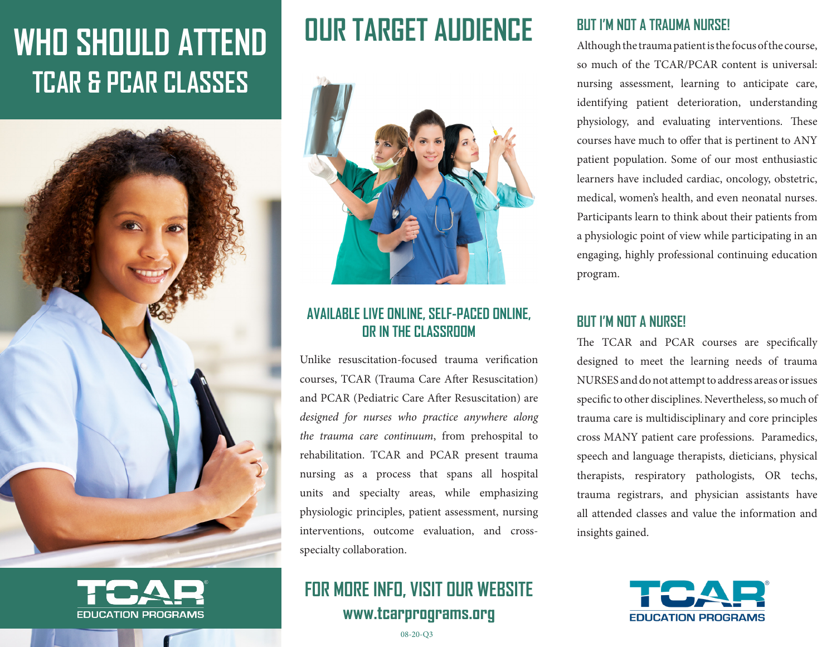# **WHO SHOULD ATTEND TCAR & PCAR CLASSES**





## **OUR TARGET AUDIENCE**



### **AVAILABLE LIVE ONLINE, SELF-PACED ONLINE, OR IN THE CLASSROOM**

Unlike resuscitation-focused trauma verification courses, TCAR (Trauma Care After Resuscitation) and PCAR (Pediatric Care After Resuscitation) are *designed for nurses who practice anywhere along the trauma care continuum*, from prehospital to rehabilitation. TCAR and PCAR present trauma nursing as a process that spans all hospital units and specialty areas, while emphasizing physiologic principles, patient assessment, nursing interventions, outcome evaluation, and crossspecialty collaboration.

### **FOR MORE INFO, VISIT OUR WEBSITE www.tcarprograms.org**

#### **BUT I'M NOT A TRAUMA NURSE!**

Although the trauma patient is the focus of the course, so much of the TCAR/PCAR content is universal: nursing assessment, learning to anticipate care, identifying patient deterioration, understanding physiology, and evaluating interventions. These courses have much to offer that is pertinent to ANY patient population. Some of our most enthusiastic learners have included cardiac, oncology, obstetric, medical, women's health, and even neonatal nurses. Participants learn to think about their patients from a physiologic point of view while participating in an engaging, highly professional continuing education program.

#### **BUT I'M NOT A NURSE!**

The TCAR and PCAR courses are specifically designed to meet the learning needs of trauma NURSES and do not attempt to address areas or issues specific to other disciplines. Nevertheless, so much of trauma care is multidisciplinary and core principles cross MANY patient care professions. Paramedics, speech and language therapists, dieticians, physical therapists, respiratory pathologists, OR techs, trauma registrars, and physician assistants have all attended classes and value the information and insights gained.